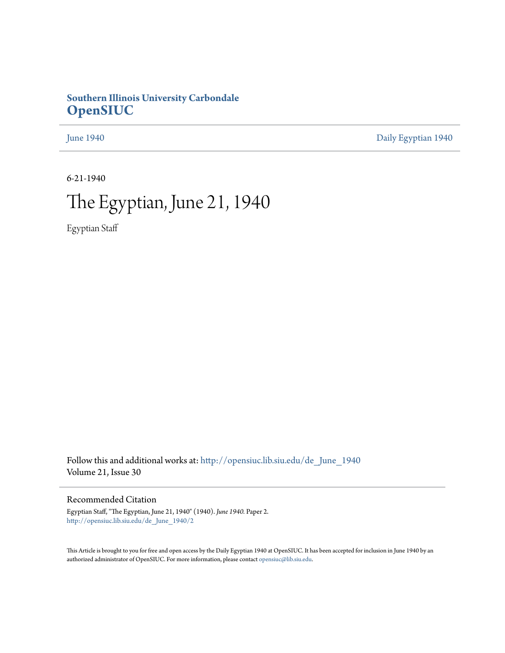## **Southern Illinois University Carbondale [OpenSIUC](http://opensiuc.lib.siu.edu?utm_source=opensiuc.lib.siu.edu%2Fde_June_1940%2F2&utm_medium=PDF&utm_campaign=PDFCoverPages)**

[June 1940](http://opensiuc.lib.siu.edu/de_June_1940?utm_source=opensiuc.lib.siu.edu%2Fde_June_1940%2F2&utm_medium=PDF&utm_campaign=PDFCoverPages) [Daily Egyptian 1940](http://opensiuc.lib.siu.edu/de_1940?utm_source=opensiuc.lib.siu.edu%2Fde_June_1940%2F2&utm_medium=PDF&utm_campaign=PDFCoverPages)

6-21-1940

## The Egyptian, June 21, 1940

Egyptian Staff

Follow this and additional works at: [http://opensiuc.lib.siu.edu/de\\_June\\_1940](http://opensiuc.lib.siu.edu/de_June_1940?utm_source=opensiuc.lib.siu.edu%2Fde_June_1940%2F2&utm_medium=PDF&utm_campaign=PDFCoverPages) Volume 21, Issue 30

Recommended Citation

Egyptian Staff, "The Egyptian, June 21, 1940" (1940). *June 1940.* Paper 2. [http://opensiuc.lib.siu.edu/de\\_June\\_1940/2](http://opensiuc.lib.siu.edu/de_June_1940/2?utm_source=opensiuc.lib.siu.edu%2Fde_June_1940%2F2&utm_medium=PDF&utm_campaign=PDFCoverPages)

This Article is brought to you for free and open access by the Daily Egyptian 1940 at OpenSIUC. It has been accepted for inclusion in June 1940 by an authorized administrator of OpenSIUC. For more information, please contact [opensiuc@lib.siu.edu](mailto:opensiuc@lib.siu.edu).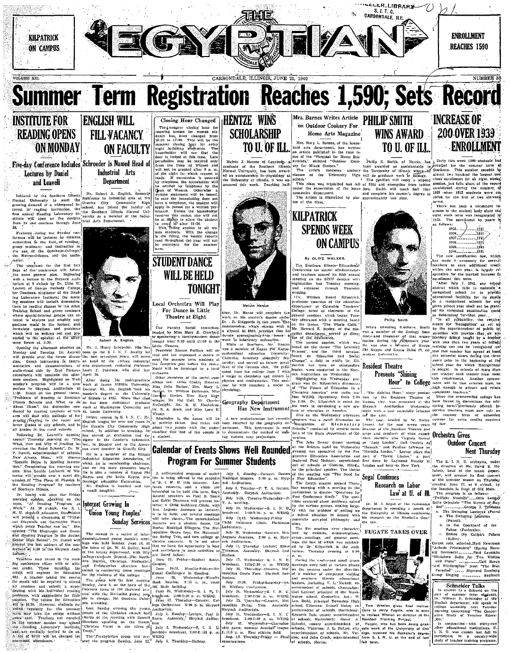

– July - 25, "Tjursday – Concert, Met<br>repolitan - String - Trio, - Assembly<br>Shryock Auditorium,

onryons Augustavan, US-3, N. C.<br>
1919 31, Wednesday – S. 1, N. C.<br>
1919 31, Wednesday – Champion-<br>
1919 31, Wednesday – Champion-<br>
1919 2010, n. East athletic deld.<br>
11310 p. m. East athletic deld.

p. m. East athletic<br>1-2. Thursday-Friday

July<br>broadcast.<br>31.

Loo. Dodd, principal Township High

school, Eldorado; Russell Malan, su

For schools. Harrisburg: Cascar A. Resp. 1986.<br>
In Schools, Waterloo, J. L. Batteri, etc. 2016.<br>
Interior Stephen Cascar A. Persons, Waterloo, J. L. Batteri, etc. 21<br>
1990. An ad John Greek, superintendent reverse of schoo

Konseth Bok **Kenneth Dals, count**<br>of schools, Havrisht sn.

cago,

Jerry.<br>• Whe

department will speak t

a department on the state of the state of Teacher

for."<br>
In conjunction with thirty-two<br>
other educational institutions, S.<br>
1. N. U. was chosen last fail to<br>
participate in a country-wide<br>
study of teacher training problems.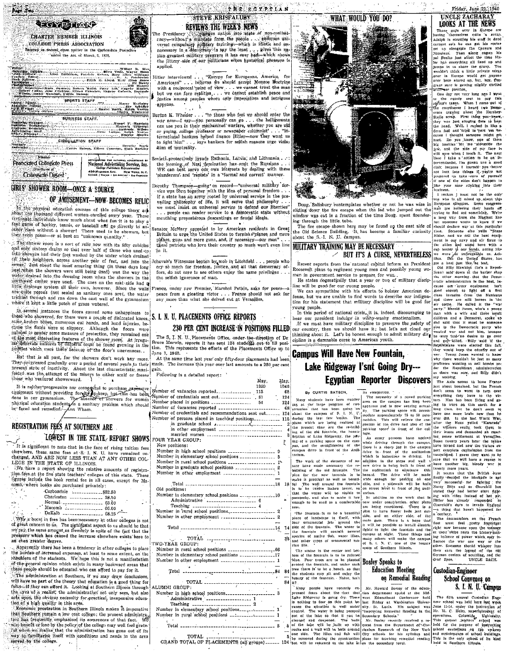

CIBOULATION STAFF Dernik, Nation, Elleen Concret, Huth Barkley.<br>- Cartly Hutson, Elleen Concrett, Huth Barkley.

**Pisocialed Collegiale Press** 

## Louise Protivers Representative<br>420 MADISON AVE. - NEW YORK, N.Y.<br>Cricko, Poston - Lot Anacus' - Say Fauncisco Collenide Dinest **GIRLS' SHOWER ROOM—ONCE A SOURCE**

## OF AMUSEMENT-NOW BECOMES RELIC

are signature for national appearance of

The physical education courses of this college there are an about the physical education courses of this college there are a the collection of the collection of the collection of the collection of the collection of the col Exception of hosts is now much about what tun it is to play a factory of a more than the second and the control of animal control of the second of the second of the second of  $\frac{1}{2}$  and  $\frac{1}{2}$  in the second of the s

The shower room is a sort of relic now with its fifty cubicles The shower room is a sort of relie now with its fifty cubicles | these patrids who love their country so more were and only sixteen dramations other hand the following scheme of the state of the state of the state of the artic to start at their curve, nowever. Since the walls<br>rescalific popous (not sealed as sanitary ones are(, the water-<br>urchled through and ran down the east wall of the gymnasium<br>whole it kept a little patch of grass vate

In several instances the ficors caused some unhappiness to these who showered, for there were a couple of dislocated knees, some-proteen biones, numerous eut hands, and herd injuries, be-some-proteen biones were se slippery. Although the floors were self-protection, they remained one of protection and the short protection of the short proof. At

But that is all past, for the showers don't work any more EN. They prince is all post, for the showers contract represent and they prince the prince of the prince of the prince of the prince of the prince of the prince of the prince of the prince of the prince of the prince of th

The relation progressive nor comognikal to purchase expensive<br>cityipment without providing for the physics of the cityipment without providing for the physics of the domestion<br>thysical counterparties a santiary problem whi he faced and remedied. Ann Wham.

## REGISTRATION FEES AT SOUTHERN ARE

## LOWEST IN THE STATE, REPORT SHOWS

It is significant to note that in the face of rising tuition fees clear head to the test at S. I. N. U. have remained un-<br>class these, same fees at S. I. N. U. have remained un-<br>class of RAE NON LESS THAN AT ANY OTHER COL-LEGE IN THE STATE OF ILLINOIS.

EXECT IN THE STATE OF ILLIANUS.<br>
SUCTION THE STATE OF STATE AND THE PROTECT STATE STATE STATE AND THE STATE STATE STATE STATE STATE STATE STATE STATE STATE STATE STATE STATE STATE STATE STATE STATE STATE STATE STATE STATE comb, where books are purchased privataly.

|  | Charleston ______________ 58.50  |  |
|--|----------------------------------|--|
|  | Normal __________________ 65.00  |  |
|  | $Maxomb$ ----------------- 66.00 |  |
|  | DeKalb _________________ 68.25   |  |

Why, a boost in fees has been necessary at other colleges is not  $\therefore$  by the decay in tests has been mecessary at other others of great concern to us. The significant aspect to us should be that we pressure which has cause a mount of the pressure which has caused the interval the pres

Apparently there has been a tendency in other colleges to place interested expenses, at least to some extent, on the burden of interested expenses, at least to some extent, on the shoulders of the students. We hope this is not a manifestation of the students. We hope this is not a mani those people should be educated who can afford to pay for it.

since propose some one concrete who can appear on the pay form in the set of the administration at Southern, if we may draw conclusions, will have no part of the theory that education is a good thing for folks—if they can tion of a high quality in this area. The man makes it imperative

execution in contrast the second of the Southern runs in the second state in the Southern remains a disc contrast that feed to the property of the second property of the contrast of the contrast of the contrast of the cont way to tamblarize itself with conditions and needs in the area

## THE ECYPTIAN **STEVE KRISFALUSY**

## REVIEWS THE WEEK'S NEWS

.<br>Phe Presidency the jittery side of our politicians when hystarical pressure is applied.

...<br>Hitler interviewed ... "Europe for Europeans, America for the meter weven  $\ldots$ , believes the should george it somethear meterial contribution of the with a reciprocal point of view  $\ldots$  we cannot trust the man but we can but we cannot be capitally  $\ldots$ , we cannot establish pe appease.  $\frac{1}{1+\epsilon}$  . <br> <br> ),

Burton K. Wheeler . . . "to those who feel we should enter the war now-I say-you personally can go . . . the belligevents can use you in their mechanized warfare, whether you are old can use you in their means or newspaper columnist'... There were not require the process or newspaper columnist'... The to light him"... says bankers for sellish reasons urge violation of neutrality.

loviets-protectively invade Exthania, Latvin, and Lithuania...:<br>the homing of Nazi domination has smit the Russians...<br>WE can best serve our own litterests by dealing with these<br>'plunderers' and 'repists' in a 'format and

Dorothy Thompson—going on record—"universal military service was born together with the idea of personal freedom.... if a state has an array rooted by universal service in the pre-<br>yailing military of H6, it will serve tha , peeple can render service to a democratic state without meuthing preposterous descantings or feudal ideals.

enator McNary appealed to by American residents in Great planets guine and more guine builded by meaning and three these patternal and more guine and three these patternal three

pace from a glosting victor . . France has the peace from a glosting victor . . France from a glosting victor ...  $\mathbb{F}_2$  . France from any more than what she delved out at Versailles.

## S. I. N. U. PLACEMENTS OFFICE REPORTS

## 230 PER CENT INCREASE IN POSITIONS FILLED

The S. I. N. U. Placements Office, under the direction of Dr<br>Bruce Merwin, reports it has sent 124 students out to fill posi-<br>tion. This represents the efforts of the Placements Office up to June 1, 1940.

At the same time last year only fifty-four placements had been<br>made. The increase this year over last amounts to a 230 per cent **vain**  $r_{\rm coll}$  awing is a detailed report  $\cdot$   $\cdot$ 

|                                                                                                                                                                                                                                                                                                                                                                                                                          |      |      | <b>Egyptian</b>                                                     | Reporter<br><b>Discovers</b>                                                                                                                                                      | say nothing.                                                                |
|--------------------------------------------------------------------------------------------------------------------------------------------------------------------------------------------------------------------------------------------------------------------------------------------------------------------------------------------------------------------------------------------------------------------------|------|------|---------------------------------------------------------------------|-----------------------------------------------------------------------------------------------------------------------------------------------------------------------------------|-----------------------------------------------------------------------------|
|                                                                                                                                                                                                                                                                                                                                                                                                                          | May. | May. |                                                                     |                                                                                                                                                                                   | The Axis seems to have Frange                                               |
|                                                                                                                                                                                                                                                                                                                                                                                                                          | 1989 | 1940 |                                                                     |                                                                                                                                                                                   | just about hunaloed, but the French                                         |
|                                                                                                                                                                                                                                                                                                                                                                                                                          |      | 68   | By CURTIS BATSON,                                                   | its completion. " .                                                                                                                                                               | don't seem to want to turn over                                             |
|                                                                                                                                                                                                                                                                                                                                                                                                                          |      | 124  |                                                                     | The necessity of a paved parking                                                                                                                                                  | everything they have to the vic-                                            |
| Number placed in positions _________________ 54                                                                                                                                                                                                                                                                                                                                                                          |      | 124  | Many students have been wonder-                                     | area on the cammas has long heen                                                                                                                                                  | tors. Man has been living and go-                                           |
| Number of vacancies reported ______________________ 68                                                                                                                                                                                                                                                                                                                                                                   |      |      | me at the large program of con-<br>struction that has been going on | apparent and is now nearing actual-                                                                                                                                               | ing to wars on this earth for a                                             |
| Number of credentials and recommendations sent out 124                                                                                                                                                                                                                                                                                                                                                                   |      |      | about the campus of S. I. N. U                                      | ity. The parking snace will accom-                                                                                                                                                | fong time. but he don't seem to                                             |
|                                                                                                                                                                                                                                                                                                                                                                                                                          |      |      | during the last few weeks. The                                      | modate approximately 75 to 80 auto-                                                                                                                                               | have one more brain now than he                                             |
|                                                                                                                                                                                                                                                                                                                                                                                                                          |      |      | plans which are being realized a                                    | mobiles. This will relieve the con-                                                                                                                                               | ever did. In the last World War,                                            |
|                                                                                                                                                                                                                                                                                                                                                                                                                          |      |      | the present time are the re-baild-                                  | gestion of the drive and also of the                                                                                                                                              | after the Huns yelled "Kamrade"<br>the winners really, took them to         |
|                                                                                                                                                                                                                                                                                                                                                                                                                          |      |      | ing of the old fountain, the heauti-                                | patking space in front of the col-                                                                                                                                                | their knees and demanded an exact-                                          |
| married women                                                                                                                                                                                                                                                                                                                                                                                                            |      |      | ficution of Lake Ridgeway, the pav-                                 | lege.                                                                                                                                                                             | ing peace settlement at Versailles.                                         |
| FOUR YEAR GROUP:                                                                                                                                                                                                                                                                                                                                                                                                         |      |      | ing of a parking space on the cam-                                  | As many persons have noticed                                                                                                                                                      | Some twenty years later the tables                                          |
| New positions:                                                                                                                                                                                                                                                                                                                                                                                                           |      |      | pus, and the straightening of the                                   | while driving through the campus                                                                                                                                                  | have turned and now the victors ex-                                         |
|                                                                                                                                                                                                                                                                                                                                                                                                                          |      |      | campus drive in front of the Audi-                                  | there is a sharp jog in the campus                                                                                                                                                | pect complete capitulation from the                                         |
|                                                                                                                                                                                                                                                                                                                                                                                                                          |      |      | torium.                                                             | drive in front of the auditorium<br>which is hazardous to driving. In                                                                                                             | vanquished. I guess they want to be                                         |
| Number in elementary school positions ______________ 5                                                                                                                                                                                                                                                                                                                                                                   |      |      |                                                                     | adúitíon to the stens and wail a                                                                                                                                                  | sure that we will have a reason to                                          |
| Number in rural school positions  19                                                                                                                                                                                                                                                                                                                                                                                     |      |      | The work of the elements of na-<br>ture have made necessary the re- | new drive is being built in front of                                                                                                                                              | have another big, bloody war in                                             |
|                                                                                                                                                                                                                                                                                                                                                                                                                          |      |      | building of the old fountain. The                                   | the auditorium to eliminate this                                                                                                                                                  | twenty more years.                                                          |
|                                                                                                                                                                                                                                                                                                                                                                                                                          |      |      |                                                                     | picn for the new tountain is to larged. The drive will be made                                                                                                                    | It seems that the British bave                                              |
|                                                                                                                                                                                                                                                                                                                                                                                                                          |      |      | make it practical as well as beauti-                                | wide enough for parking on one                                                                                                                                                    | finally decided the blockade is not                                         |
|                                                                                                                                                                                                                                                                                                                                                                                                                          |      |      | ful The wall around the fountain side, and a sidewalk will be built |                                                                                                                                                                                   | very successful for fighting the                                            |
| Old positions:                                                                                                                                                                                                                                                                                                                                                                                                           |      |      |                                                                     | is to be twelve inches lower, so on street level to front of the audi                                                                                                             | Nasty Blitz and so Churchill has                                            |
|                                                                                                                                                                                                                                                                                                                                                                                                                          |      |      | that the water will be visible to                                   | torlum.                                                                                                                                                                           | stated they had better start fight-                                         |
| Number in elementary school nositions ______________10                                                                                                                                                                                                                                                                                                                                                                   |      |      | passersby, and also to make it low                                  | In addition to the work that is                                                                                                                                                   | ing with rifles instead of hot air.                                         |
|                                                                                                                                                                                                                                                                                                                                                                                                                          |      |      |                                                                     | enough to be used as a comfortable now under construction, other plans                                                                                                            | Hitler hus already responded to                                             |
| Teaching $\frac{1}{2}$ $\frac{1}{2}$ $\frac{1}{2}$ $\frac{1}{2}$ $\frac{1}{2}$ $\frac{1}{2}$ $\frac{1}{2}$ $\frac{1}{2}$ $\frac{1}{2}$ $\frac{1}{2}$ $\frac{1}{2}$ $\frac{1}{2}$ $\frac{1}{2}$ $\frac{1}{2}$ $\frac{1}{2}$ $\frac{1}{2}$ $\frac{1}{2}$ $\frac{1}{2}$ $\frac{1}{2}$ $\frac{1}{2}$ $\frac{1}{2}$ $\$                                                                                                       |      |      | sent.                                                               | are being considered. There is a                                                                                                                                                  | Churchill's dare to invade England                                          |
|                                                                                                                                                                                                                                                                                                                                                                                                                          |      |      | "The fountain is to be a beautiful                                  | lulan to have flower beds just ont-                                                                                                                                               | -a thing that hasn't happened for                                           |
|                                                                                                                                                                                                                                                                                                                                                                                                                          |      |      | piece of landscape in fiself, with                                  | side, and on either side, of the                                                                                                                                                  | a century.                                                                  |
|                                                                                                                                                                                                                                                                                                                                                                                                                          |      |      | four ornamental jets around the                                     | main gate. There is a hope that                                                                                                                                                   | The commanders on the French                                                |
|                                                                                                                                                                                                                                                                                                                                                                                                                          |      |      | side of the fountain. The water in                                  | it will be possible to justail electric                                                                                                                                           | fleet must feel pretty important                                            |
|                                                                                                                                                                                                                                                                                                                                                                                                                          |      |      | the fountain will contain several                                   | lights to light the fountain and the                                                                                                                                              | right now because upon the tonnage<br>of their ships rests the history-mak- |
|                                                                                                                                                                                                                                                                                                                                                                                                                          |      |      | species of native than, water illies,                               | campus at night. These things and                                                                                                                                                 | ing balance of power which may in-                                          |
| $\frac{1}{24}$ TOTAL $\frac{1}{24}$ . The contract of the state of the state of the state of the state of the state of the state of the state of the state of the state of the state of the state of the state of the state of the st                                                                                                                                                                                    |      |      | and other types of ornamental ma-                                   | many others will make the campus                                                                                                                                                  | fluence the war one way or the                                              |
| TWO-YEAR GROUP:                                                                                                                                                                                                                                                                                                                                                                                                          |      |      | rine life.                                                          | of S. I. N. U. one of the heauty                                                                                                                                                  | other. Someone should whisper into                                          |
| Number in rural school positions __________________________66                                                                                                                                                                                                                                                                                                                                                            |      |      | The statue in the center and bot-                                   | spots of Southern Illinois.                                                                                                                                                       | their cars the legond of the old                                            |
| Number in elementary school positions _______________17                                                                                                                                                                                                                                                                                                                                                                  |      |      | tom of the fountain is to be painted                                |                                                                                                                                                                                   | German custom of scuttling, and the                                         |
| Number in other employment $\frac{1}{2}$                                                                                                                                                                                                                                                                                                                                                                                 |      |      | hiue. Four trees are to be planted                                  |                                                                                                                                                                                   | Graf Spee.<br>UNCLE ZACH.                                                   |
|                                                                                                                                                                                                                                                                                                                                                                                                                          |      |      | arbind the fountain, and under each                                 | <b>Bosley Speaks to</b>                                                                                                                                                           |                                                                             |
|                                                                                                                                                                                                                                                                                                                                                                                                                          |      |      | tree there is to be a bench, so that                                | <b>Education Meeting</b>                                                                                                                                                          | Custodian-Engineer                                                          |
|                                                                                                                                                                                                                                                                                                                                                                                                                          |      |      | the students may sit and enjoy the                                  |                                                                                                                                                                                   |                                                                             |
| TOTAL $\frac{1}{\sqrt{1-\frac{1}{2}}}\frac{1}{\sqrt{1-\frac{1}{2}}}\frac{1}{\sqrt{1-\frac{1}{2}}}\frac{1}{\sqrt{1-\frac{1}{2}}}\frac{1}{\sqrt{1-\frac{1}{2}}}\frac{1}{\sqrt{1-\frac{1}{2}}}\frac{1}{\sqrt{1-\frac{1}{2}}}\frac{1}{\sqrt{1-\frac{1}{2}}}\frac{1}{\sqrt{1-\frac{1}{2}}}\frac{1}{\sqrt{1-\frac{1}{2}}}\frac{1}{\sqrt{1-\frac{1}{2}}}\frac{1}{\sqrt{1-\frac{1}{2}}}\frac{1}{\sqrt{1-\frac{1}{2}}}\frac{1}{\$ |      |      | beauty of the fountain. Naive, isn't                                | on Remedial Reading                                                                                                                                                               | School Convenes on                                                          |
|                                                                                                                                                                                                                                                                                                                                                                                                                          |      | 84   | 11.7                                                                |                                                                                                                                                                                   |                                                                             |
| ALUMNI GRÓUP:                                                                                                                                                                                                                                                                                                                                                                                                            |      |      | Many neonle have recently ex-                                       | Mr. Howard Bostey of the educa-                                                                                                                                                   | S. I. N. U. Campus                                                          |
|                                                                                                                                                                                                                                                                                                                                                                                                                          |      |      |                                                                     | pressed fears about the fact that tion department spake at the Mid-                                                                                                               |                                                                             |
|                                                                                                                                                                                                                                                                                                                                                                                                                          |      |      | Lake Ridgeway is going dry. There                                   | west Educational Conference held                                                                                                                                                  | The fifth annual Custodian Engi-                                            |
| Administrative<br>Teaching<br>$\frac{1}{2}$                                                                                                                                                                                                                                                                                                                                                                              |      |      | is nothing to fear on this point he-                                | last Friday at Washington Univer-                                                                                                                                                 | neer school was held here last week                                         |
|                                                                                                                                                                                                                                                                                                                                                                                                                          |      |      | cause the aituation is well mider                                   | sity. St. Louis. His subject was                                                                                                                                                  | June 11-14, under the instruction of                                        |
|                                                                                                                                                                                                                                                                                                                                                                                                                          |      |      | coutrol. The water is being pumped                                  | "improving Remodial Reading in the Mr. M. C. Helm, superintendent of                                                                                                              |                                                                             |
| <b>Carl Committee</b>                                                                                                                                                                                                                                                                                                                                                                                                    |      |      | out of the lake so that if can be.                                  | Secondary Schools."                                                                                                                                                               | operations. Columbia University.                                            |
|                                                                                                                                                                                                                                                                                                                                                                                                                          |      |      | cleaned and deepened. The bank                                      |                                                                                                                                                                                   | Mr. Bosley recently received a re- This annual japitors school was          |
|                                                                                                                                                                                                                                                                                                                                                                                                                          |      |      | of the lake will be juilt up with                                   | quest from the Department of Gur- held for the purpose of instructing                                                                                                             |                                                                             |
|                                                                                                                                                                                                                                                                                                                                                                                                                          |      |      | one side. The lilles and fish will                                  | rocks and a wall will be built around rienlum Research of the New York school custodians on the up-keep<br>City schools for his syllabus and and maintenance of school huildings. |                                                                             |
| TOTAL .<br>-----------------------------                                                                                                                                                                                                                                                                                                                                                                                 |      |      | be removed during the construction                                  | plans for teaching remedial reading This is the only school of its kind                                                                                                           |                                                                             |
| GRAND TOTAL OF PLACEMENTS (all groups) ______ 124 but will be returned to the lake at on the secondary level.                                                                                                                                                                                                                                                                                                            |      |      |                                                                     |                                                                                                                                                                                   | I held in Southorn Hinols.                                                  |
|                                                                                                                                                                                                                                                                                                                                                                                                                          |      |      |                                                                     |                                                                                                                                                                                   |                                                                             |
|                                                                                                                                                                                                                                                                                                                                                                                                                          |      |      |                                                                     |                                                                                                                                                                                   |                                                                             |



Doug. Salisbury contemplates whether or not he was wise in sliding down the fire escape when the lad who jumped out the

Friday, June 21, 1940 UNCLE ZACHARAY **LOOKS AT THE NEWS** 

UNICULE ZACHARAY<br>
MOUS AT THE NEWS TONE AND THE NEWS TONE AND THE NEWS IN THE NEWS TONES (AND THE STATE OF THE STATE THAN AND IN A securitor is the can get in the reach and some to all the result in the prior of the parti

nextent in mixed up the the only him<br>European situation. Some congress-<br>men are hollering their heads of

The contract of the state of the state of the state of the state of the state of the state of the state of the state of the state of the state of the state of the state of the state of the state of the state of the state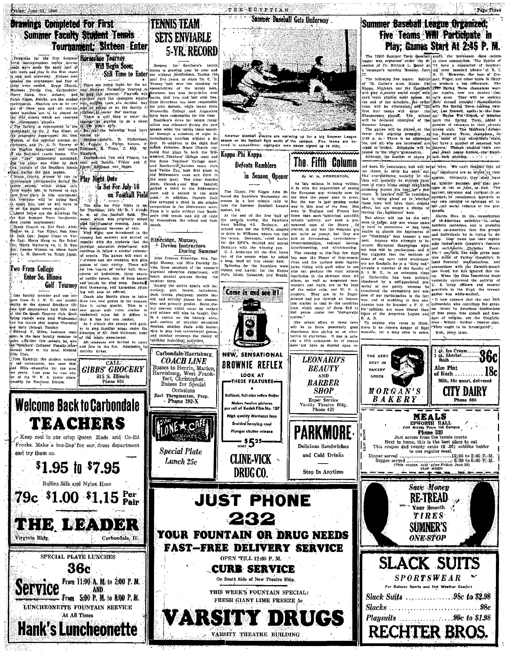## **Drawings Completed For First Summer Faculty Student Tennis** Tournament: Sixteen Enter

Consider the first state of the first state of the state of the state of the state of the state of the state of the state of the state of the state of the state of the state of the state of the state of the state of the st

1<br>Priday, June 21, 1940

Note: George Watson vs. Glenn Routh (continue to foliow a similar celestrate)<br>
New Continue in foliow a similar celestrate)<br>
New Continue in foliow a similar celestrate)<br>
New Continue in the celestrate will share a milita

lls Club.<br>
(Pop Esserly, the student entered to<br>
the commanent, has been Mid-<br>
(d) Hills schampton for the past<br>
(d) Hills schampton for the was white<br>
p years. Last year be was white<br>
(r) of the W. P. A. junior champtons<br>

and try them on

.<br>Virginia Blde

Service

Will Begin Soon:

Respect for Southern's tentils<br>teams is growing year by year and<br>not without justification. During the<br>past five years, or since Dr. C, D.<br>Tenney 'took over the conching re-<br>sponsibilities of the tennis men, This version and principles in this first particle. The same in the same in the same in the same of the same of the same of the same of the same of the same of the same of the same of the same of the same of the same of t Still Time to Enter

**TENNIS TEAM** 

**SETS ENVIABLE** 

**5-YR. RECORD** 

for Southern's tennis

CALL

**GIBBS GROCERY** 

815 S. Illinois

Carbondale, Ill.

**Welcome Back to Carbondale** 

**TEACHERS** 

Keep cool in our crisp Queen Made and Co-Ed

.<br>Frocks. Make a bee-line for our dress department

 $$1.95$  in  $$7.95$ 

Rollins Silk and Nylon Hose

 $79c$  \$1.00 \$1.15 Per

THE LEADER

SPECIAL PLATE LUNCHES

36c

LUNCHEONETTE FOUNTAIN SERVICE

At All Times

**Hank's Luncheonette** 

From 11:00 A, M, to 2:00 P.M.

From 5:00 P. M. to 8:00 P. M.

AND

ans runnes Etherdae, Mrs. Dorathy Davels, Muzzey, and Miss Dorathy Davels, three members of the women's mine and Euclide<br>the world department,<br>courses during

dialysical education department, will<br>discuss during the sense of summer term, aluminer term,<br>summer term, active sports will be:<br>actively, soil, tennis; hadminiton,<br>dest tenuis, pinc-pose, neddle ten-<br>actively, some for e

tary and primary grades. Some the current of the state and microser will show the state in a state of the state in the state of the state of the state of the state of the content of the state of the content of the state of

Carbondale-Harrisburg

**COACH LINE** 

Next to Herrin, Martin,<br>Harrisburg, West Frank-<br>Harrisburg, West Frank-<br>Busses for Special

Occasions

Earl Throgmorton, Prop.<br>
Phone 192-X

LONE + CNE

**Special Plate** 

Lunch 25c

**VEICOMES.** 

Kanna Phi Kanna

## Summer Baseball Gets Underway

## Five Teams Will Participate in Play: Games Start At 2:45 P. M.

**Play: Californ Start Hall, and L. 2.4.5 P. The state of the control of the control of the state and the state of the distribution of the state of the state of the state of the state of the state of the state of the state** 

**Photos Ramblers**<br>
The Fifth Column  $\frac{1}{16}$  case is maintained the singular photos is a stationary and will be interesting and will be the singular photos in the singular photos is a stationary of the singular photos i

of Each  $\ldots$   $18c$ 

Milk, 10c quart, delivered

**CITY DAIRY** 

Phone 608

**36c** 

Also Plnt

**MEALS** 

**FREE ALD**<br>
INTERVENTITY HARD EXPLORED TO THE THREE THANKS THE THANKS THAT THE STATE THANKS THE SURFACE THE SURFACE THE SURFACE THANKS ONLY THE STATE THANKS THE PART OF THE STATE THAN THE STATE THAN THE STATE THAN THE FIN

**Save Money** 

**RE-TREAD** 

Your Smooth

**TIRES** 

SUMNER'S

**ONE-STOP** 

**SLACK SUITS** 

**SPORTSWEAR** 

For Outdoor Sports and Hot Weather Comfort

Slack Suits . . . . . . . . . . . . . . . . 98c to \$2.98

 $Slacks \dots \dots \dots \dots \dots \dots \dots \dots \dots \dots \dots \$ 

**RECHTER BROS.** 

season on the football field south of the can<br>tered in competition; eighty-six men haves Five teams are<br>up to play. The Fifth Column

up for a big Summer League

Amateur baseball players are warming

**Defeats Ramblers** 







and Cold Drinks



# **Stop In Anytime**









FRESH GIANT LIME FREEZE 5c

ZARSITY DRUGS

. VARSITY THEATRE BUILDING

: Page Three Summer Baseball League Organized:

THE VERY

**REST 1N** 

**BAKERY** 

GOODS

 $M$  ORGAN'S

**BAKERY** 

Dinner served

es work for sustenance, and will be at least. We can't imagine that all